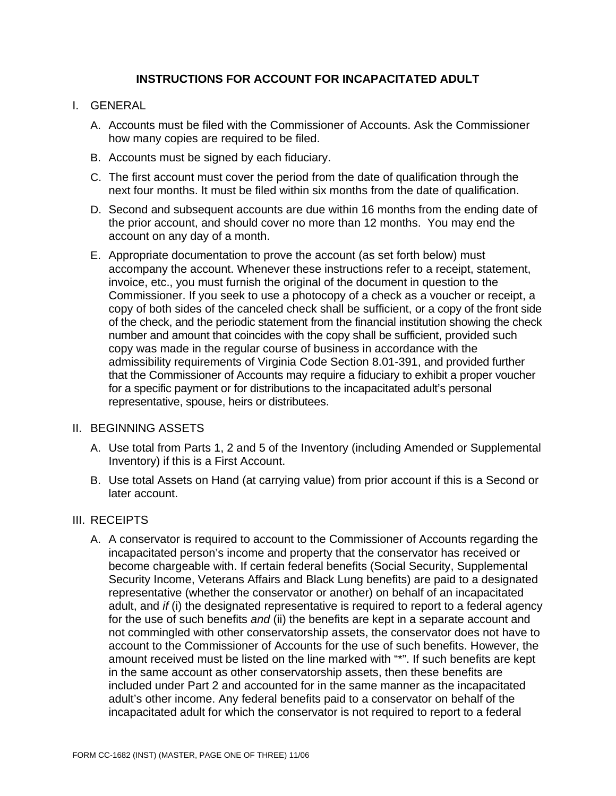# **INSTRUCTIONS FOR ACCOUNT FOR INCAPACITATED ADULT**

# I. GENERAL

- A. Accounts must be filed with the Commissioner of Accounts. Ask the Commissioner how many copies are required to be filed.
- B. Accounts must be signed by each fiduciary.
- C. The first account must cover the period from the date of qualification through the next four months. It must be filed within six months from the date of qualification.
- D. Second and subsequent accounts are due within 16 months from the ending date of the prior account, and should cover no more than 12 months. You may end the account on any day of a month.
- E. Appropriate documentation to prove the account (as set forth below) must accompany the account. Whenever these instructions refer to a receipt, statement, invoice, etc., you must furnish the original of the document in question to the Commissioner. If you seek to use a photocopy of a check as a voucher or receipt, a copy of both sides of the canceled check shall be sufficient, or a copy of the front side of the check, and the periodic statement from the financial institution showing the check number and amount that coincides with the copy shall be sufficient, provided such copy was made in the regular course of business in accordance with the admissibility requirements of Virginia Code Section 8.01-391, and provided further that the Commissioner of Accounts may require a fiduciary to exhibit a proper voucher for a specific payment or for distributions to the incapacitated adult's personal representative, spouse, heirs or distributees.

## II. BEGINNING ASSETS

- A. Use total from Parts 1, 2 and 5 of the Inventory (including Amended or Supplemental Inventory) if this is a First Account.
- B. Use total Assets on Hand (at carrying value) from prior account if this is a Second or later account.

# III. RECEIPTS

A. A conservator is required to account to the Commissioner of Accounts regarding the incapacitated person's income and property that the conservator has received or become chargeable with. If certain federal benefits (Social Security, Supplemental Security Income, Veterans Affairs and Black Lung benefits) are paid to a designated representative (whether the conservator or another) on behalf of an incapacitated adult, and *if* (i) the designated representative is required to report to a federal agency for the use of such benefits *and* (ii) the benefits are kept in a separate account and not commingled with other conservatorship assets, the conservator does not have to account to the Commissioner of Accounts for the use of such benefits. However, the amount received must be listed on the line marked with "\*". If such benefits are kept in the same account as other conservatorship assets, then these benefits are included under Part 2 and accounted for in the same manner as the incapacitated adult's other income. Any federal benefits paid to a conservator on behalf of the incapacitated adult for which the conservator is not required to report to a federal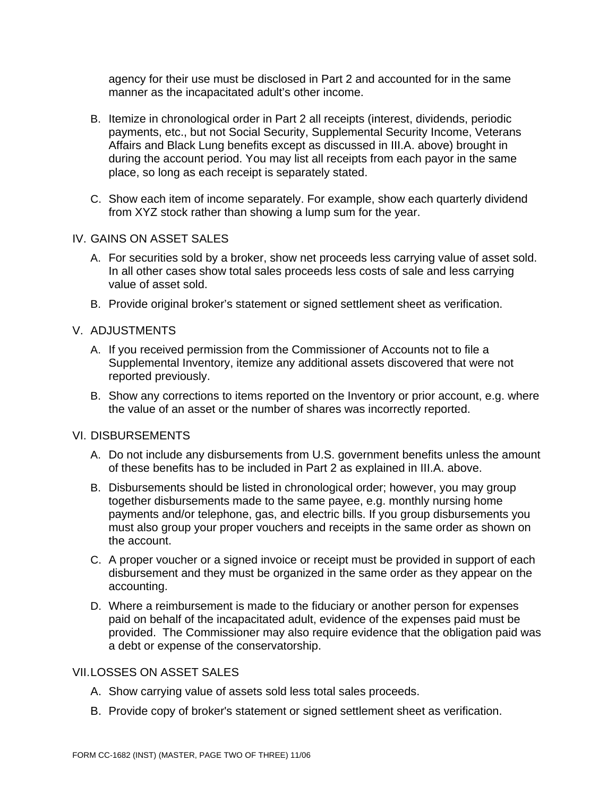agency for their use must be disclosed in Part 2 and accounted for in the same manner as the incapacitated adult's other income.

- B. Itemize in chronological order in Part 2 all receipts (interest, dividends, periodic payments, etc., but not Social Security, Supplemental Security Income, Veterans Affairs and Black Lung benefits except as discussed in III.A. above) brought in during the account period. You may list all receipts from each payor in the same place, so long as each receipt is separately stated.
- C. Show each item of income separately. For example, show each quarterly dividend from XYZ stock rather than showing a lump sum for the year.

## IV. GAINS ON ASSET SALES

- A. For securities sold by a broker, show net proceeds less carrying value of asset sold. In all other cases show total sales proceeds less costs of sale and less carrying value of asset sold.
- B. Provide original broker's statement or signed settlement sheet as verification.

## V. ADJUSTMENTS

- A. If you received permission from the Commissioner of Accounts not to file a Supplemental Inventory, itemize any additional assets discovered that were not reported previously.
- B. Show any corrections to items reported on the Inventory or prior account, e.g. where the value of an asset or the number of shares was incorrectly reported.

#### VI. DISBURSEMENTS

- A. Do not include any disbursements from U.S. government benefits unless the amount of these benefits has to be included in Part 2 as explained in III.A. above.
- B. Disbursements should be listed in chronological order; however, you may group together disbursements made to the same payee, e.g. monthly nursing home payments and/or telephone, gas, and electric bills. If you group disbursements you must also group your proper vouchers and receipts in the same order as shown on the account.
- C. A proper voucher or a signed invoice or receipt must be provided in support of each disbursement and they must be organized in the same order as they appear on the accounting.
- D. Where a reimbursement is made to the fiduciary or another person for expenses paid on behalf of the incapacitated adult, evidence of the expenses paid must be provided. The Commissioner may also require evidence that the obligation paid was a debt or expense of the conservatorship.

#### VII. LOSSES ON ASSET SALES

- A. Show carrying value of assets sold less total sales proceeds.
- B. Provide copy of broker's statement or signed settlement sheet as verification.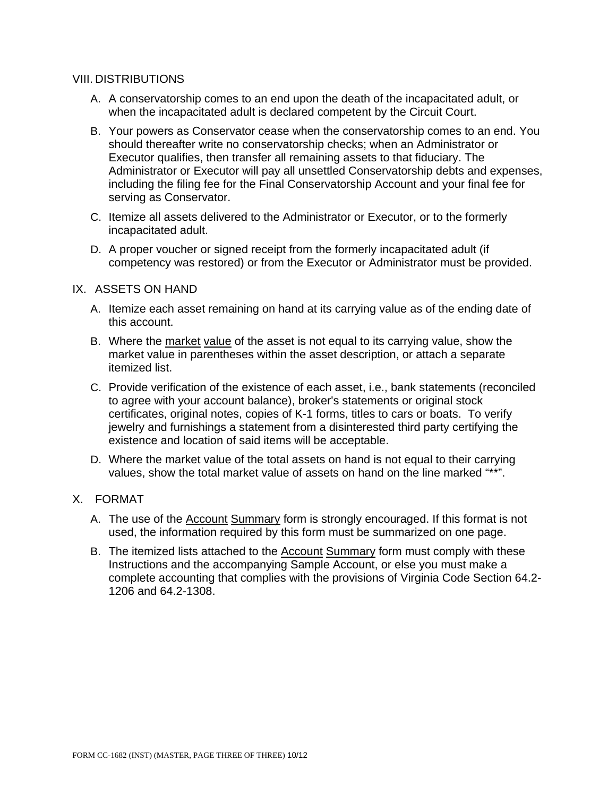## VIII. DISTRIBUTIONS

- A. A conservatorship comes to an end upon the death of the incapacitated adult, or when the incapacitated adult is declared competent by the Circuit Court.
- B. Your powers as Conservator cease when the conservatorship comes to an end. You should thereafter write no conservatorship checks; when an Administrator or Executor qualifies, then transfer all remaining assets to that fiduciary. The Administrator or Executor will pay all unsettled Conservatorship debts and expenses, including the filing fee for the Final Conservatorship Account and your final fee for serving as Conservator.
- C. Itemize all assets delivered to the Administrator or Executor, or to the formerly incapacitated adult.
- D. A proper voucher or signed receipt from the formerly incapacitated adult (if competency was restored) or from the Executor or Administrator must be provided.

## IX. ASSETS ON HAND

- A. Itemize each asset remaining on hand at its carrying value as of the ending date of this account.
- B. Where the market value of the asset is not equal to its carrying value, show the market value in parentheses within the asset description, or attach a separate itemized list.
- C. Provide verification of the existence of each asset, i.e., bank statements (reconciled to agree with your account balance), broker's statements or original stock certificates, original notes, copies of K-1 forms, titles to cars or boats. To verify jewelry and furnishings a statement from a disinterested third party certifying the existence and location of said items will be acceptable.
- D. Where the market value of the total assets on hand is not equal to their carrying values, show the total market value of assets on hand on the line marked "\*\*".

# X. FORMAT

- A. The use of the **Account Summary** form is strongly encouraged. If this format is not used, the information required by this form must be summarized on one page.
- B. The itemized lists attached to the **Account Summary form must comply with these** Instructions and the accompanying Sample Account, or else you must make a complete accounting that complies with the provisions of Virginia Code Section 64.2- 1206 and 64.2-1308.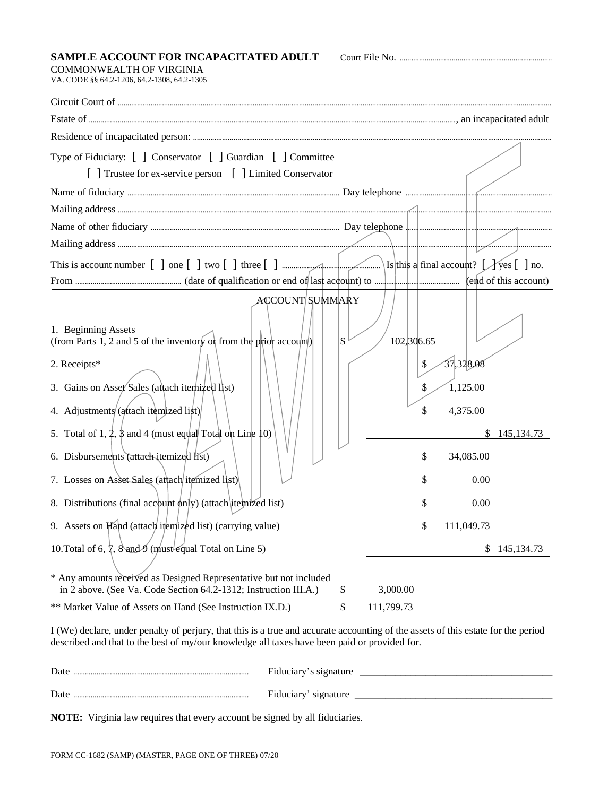#### **SAMPLE ACCOUNT FOR INCAPACITATED ADULT** Court File No. ...............................................................................

COMMONWEALTH OF VIRGINIA VA. CODE §§ 64.2-1206, 64.2-1308, 64.2-1305

| Type of Fiduciary: [ ] Conservator [ ] Guardian [ ] Committee<br>[ ] Trustee for ex-service person [ ] Limited Conservator                                                                                                                                                                                                                                                                                                                                                                                                                                                     |                                                                                                                                                                                                       |
|--------------------------------------------------------------------------------------------------------------------------------------------------------------------------------------------------------------------------------------------------------------------------------------------------------------------------------------------------------------------------------------------------------------------------------------------------------------------------------------------------------------------------------------------------------------------------------|-------------------------------------------------------------------------------------------------------------------------------------------------------------------------------------------------------|
|                                                                                                                                                                                                                                                                                                                                                                                                                                                                                                                                                                                |                                                                                                                                                                                                       |
|                                                                                                                                                                                                                                                                                                                                                                                                                                                                                                                                                                                |                                                                                                                                                                                                       |
|                                                                                                                                                                                                                                                                                                                                                                                                                                                                                                                                                                                |                                                                                                                                                                                                       |
|                                                                                                                                                                                                                                                                                                                                                                                                                                                                                                                                                                                |                                                                                                                                                                                                       |
|                                                                                                                                                                                                                                                                                                                                                                                                                                                                                                                                                                                |                                                                                                                                                                                                       |
|                                                                                                                                                                                                                                                                                                                                                                                                                                                                                                                                                                                |                                                                                                                                                                                                       |
| ACCOUNT/SUMMARY<br>1. Beginning Assets<br>(from Parts 1, 2 and 5 of the inventory of from the prior account)<br>2. Receipts*<br>3. Gains on Asset Sales (attach itemized list)<br>4. Adjustments (attach itemized list)<br>5. Total of 1, 2, $\beta$ and 4 (must equal Total on Line 10)<br>6. Disbursements (attach-itemized list)<br>7. Losses on Asset Sales (attach itemized list)<br>8. Distributions (final account only) (attach itemized list)<br>9. Assets on Hand (attach itemized list) (carrying value)<br>10. Total of 6, 7, 8 and 9 (must equal Total on Line 5) | $\mathbf{\hat{S}}$<br>102, 306.65<br>37,328.08<br>\$<br>1,125.00<br>\$<br>4,375.00<br>\$<br>145, 134. 73<br>\$<br>\$<br>34,085.00<br>0.00<br>S<br>0.00<br>S<br>111,049.73<br>\$<br>\$<br>145, 134. 73 |
| * Any amounts received as Designed Representative but not included<br>in 2 above. (See Va. Code Section 64.2-1312; Instruction III.A.)                                                                                                                                                                                                                                                                                                                                                                                                                                         | \$<br>3,000.00                                                                                                                                                                                        |
| ** Market Value of Assets on Hand (See Instruction IX.D.)                                                                                                                                                                                                                                                                                                                                                                                                                                                                                                                      | \$<br>111,799.73                                                                                                                                                                                      |
| I (We) declare, under penalty of perjury, that this is a true and accurate accounting of the assets of this estate for the period<br>described and that to the best of my/our knowledge all taxes have been paid or provided for.                                                                                                                                                                                                                                                                                                                                              |                                                                                                                                                                                                       |

| Date            | Fiduciary's signature |
|-----------------|-----------------------|
| $\mathbf{Date}$ | Fiduciary'            |
|                 | signature             |

**NOTE:** Virginia law requires that every account be signed by all fiduciaries.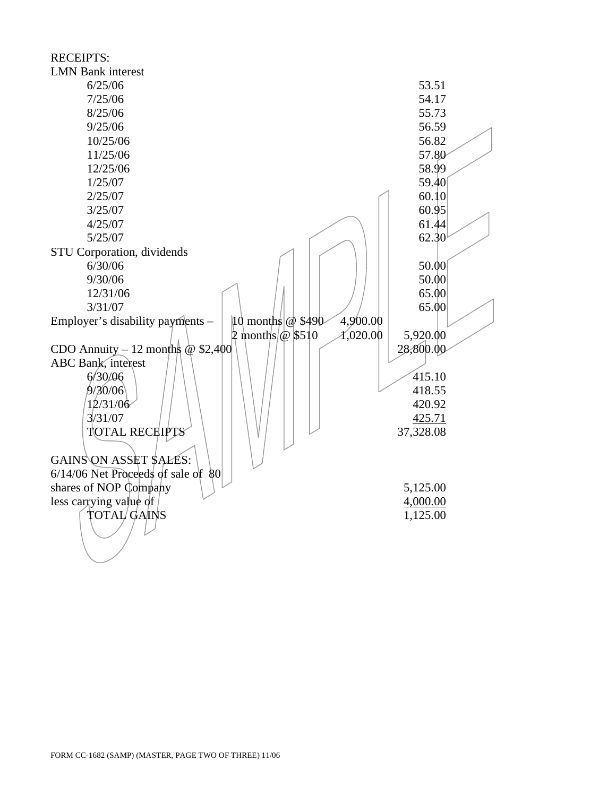